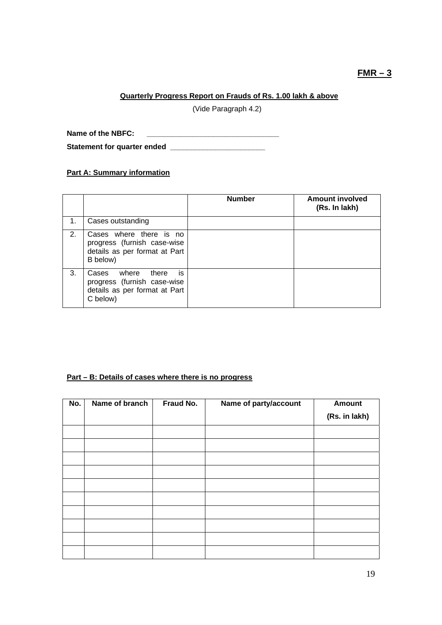# **FMR – 3**

## **Quarterly Progress Report on Frauds of Rs. 1.00 lakh & above**

(Vide Paragraph 4.2)

**Name of the NBFC: \_\_\_\_\_\_\_\_\_\_\_\_\_\_\_\_\_\_\_\_\_\_\_\_\_\_\_\_\_\_\_\_** 

**Statement for quarter ended \_\_\_\_\_\_\_\_\_\_\_\_\_\_\_\_\_\_\_\_\_\_\_** 

# **Part A: Summary information**

|    |                                                                                                           | <b>Number</b> | <b>Amount involved</b><br>(Rs. In lakh) |
|----|-----------------------------------------------------------------------------------------------------------|---------------|-----------------------------------------|
| 1. | Cases outstanding                                                                                         |               |                                         |
| 2. | Cases where there is no<br>progress (furnish case-wise<br>details as per format at Part<br>B below)       |               |                                         |
| 3. | is<br>where<br>there<br>Cases<br>progress (furnish case-wise<br>details as per format at Part<br>C below) |               |                                         |

#### **Part – B: Details of cases where there is no progress**

| No. | Name of branch | Fraud No. | Name of party/account | <b>Amount</b> |
|-----|----------------|-----------|-----------------------|---------------|
|     |                |           |                       | (Rs. in lakh) |
|     |                |           |                       |               |
|     |                |           |                       |               |
|     |                |           |                       |               |
|     |                |           |                       |               |
|     |                |           |                       |               |
|     |                |           |                       |               |
|     |                |           |                       |               |
|     |                |           |                       |               |
|     |                |           |                       |               |
|     |                |           |                       |               |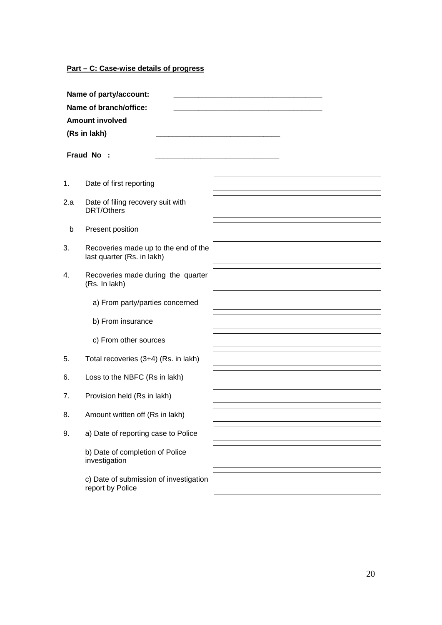**Part – C: Case-wise details of progress**

investigation

report by Police

c) Date of submission of investigation

|     | Name of party/account:<br>Name of branch/office:<br><b>Amount involved</b><br>(Rs in lakh)<br>Fraud No : |  |
|-----|----------------------------------------------------------------------------------------------------------|--|
| 1.  | Date of first reporting                                                                                  |  |
| 2.a | Date of filing recovery suit with<br><b>DRT/Others</b>                                                   |  |
| b   | Present position                                                                                         |  |
| 3.  | Recoveries made up to the end of the<br>last quarter (Rs. in lakh)                                       |  |
| 4.  | Recoveries made during the quarter<br>(Rs. In lakh)                                                      |  |
|     | a) From party/parties concerned                                                                          |  |
|     | b) From insurance                                                                                        |  |
|     | c) From other sources                                                                                    |  |
| 5.  | Total recoveries (3+4) (Rs. in lakh)                                                                     |  |
| 6.  | Loss to the NBFC (Rs in lakh)                                                                            |  |
| 7.  | Provision held (Rs in lakh)                                                                              |  |
| 8.  | Amount written off (Rs in lakh)                                                                          |  |
| 9.  | a) Date of reporting case to Police                                                                      |  |
|     | b) Date of completion of Police                                                                          |  |